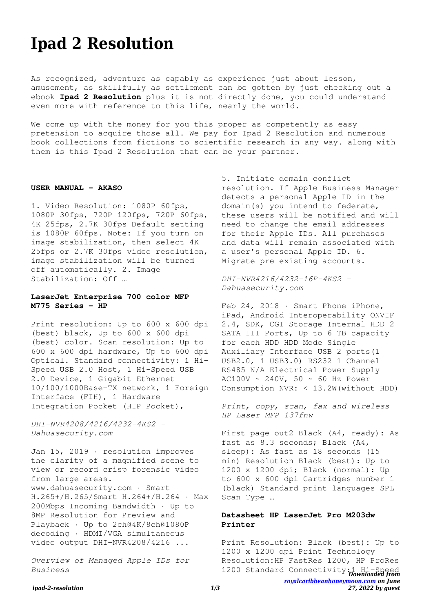# **Ipad 2 Resolution**

As recognized, adventure as capably as experience just about lesson, amusement, as skillfully as settlement can be gotten by just checking out a ebook **Ipad 2 Resolution** plus it is not directly done, you could understand even more with reference to this life, nearly the world.

We come up with the money for you this proper as competently as easy pretension to acquire those all. We pay for Ipad 2 Resolution and numerous book collections from fictions to scientific research in any way. along with them is this Ipad 2 Resolution that can be your partner.

#### **USER MANUAL - AKASO**

1. Video Resolution: 1080P 60fps, 1080P 30fps, 720P 120fps, 720P 60fps, 4K 25fps, 2.7K 30fps Default setting is 1080P 60fps. Note: If you turn on image stabilization, then select 4K 25fps or 2.7K 30fps video resolution, image stabilization will be turned off automatically. 2. Image Stabilization: Off …

#### **LaserJet Enterprise 700 color MFP M775 Series - HP**

Print resolution: Up to 600 x 600 dpi (best) black, Up to 600 x 600 dpi (best) color. Scan resolution: Up to 600 x 600 dpi hardware, Up to 600 dpi Optical. Standard connectivity: 1 Hi-Speed USB 2.0 Host, 1 Hi-Speed USB 2.0 Device, 1 Gigabit Ethernet 10/100/1000Base-TX network, 1 Foreign Interface (FIH), 1 Hardware Integration Pocket (HIP Pocket),

*DHI-NVR4208/4216/4232-4KS2 - Dahuasecurity.com*

Jan 15, 2019 · resolution improves the clarity of a magnified scene to view or record crisp forensic video from large areas. www.dahuasecurity.com · Smart H.265+/H.265/Smart H.264+/H.264 · Max 200Mbps Incoming Bandwidth · Up to 8MP Resolution for Preview and Playback · Up to 2ch@4K/8ch@1080P decoding · HDMI/VGA simultaneous video output DHI-NVR4208/4216 ...

*Overview of Managed Apple IDs for Business*

5. Initiate domain conflict resolution. If Apple Business Manager detects a personal Apple ID in the domain(s) you intend to federate, these users will be notified and will need to change the email addresses for their Apple IDs. All purchases and data will remain associated with a user's personal Apple ID. 6. Migrate pre-existing accounts.

*DHI-NVR4216/4232-16P-4KS2 - Dahuasecurity.com*

Feb 24, 2018 · Smart Phone iPhone, iPad, Android Interoperability ONVIF 2.4, SDK, CGI Storage Internal HDD 2 SATA III Ports, Up to 6 TB capacity for each HDD HDD Mode Single Auxiliary Interface USB 2 ports(1 USB2.0, 1 USB3.0) RS232 1 Channel RS485 N/A Electrical Power Supply AC100V ~ 240V, 50 ~ 60 Hz Power Consumption NVR: < 13.2W(without HDD)

*Print, copy, scan, fax and wireless HP Laser MFP 137fnw*

First page out2 Black (A4, ready): As fast as 8.3 seconds; Black (A4, sleep): As fast as 18 seconds (15 min) Resolution Black (best): Up to 1200 x 1200 dpi; Black (normal): Up to 600 x 600 dpi Cartridges number 1 (black) Standard print languages SPL Scan Type …

# **Datasheet HP LaserJet Pro M203dw Printer**

1200 Standard Connectivity:1 Hi-Speed *[royalcaribbeanhoneymoon.com](http://royalcaribbeanhoneymoon.com) on June 27, 2022 by guest* Print Resolution: Black (best): Up to 1200 x 1200 dpi Print Technology Resolution:HP FastRes 1200, HP ProRes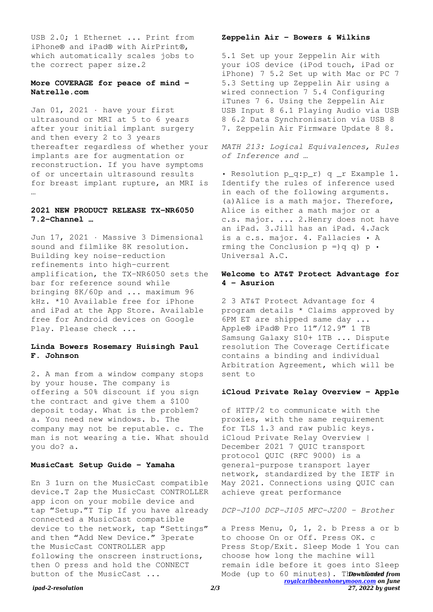USB 2.0; 1 Ethernet ... Print from iPhone® and iPad® with AirPrint®, which automatically scales jobs to the correct paper size.2

## **More COVERAGE for peace of mind - Natrelle.com**

Jan 01, 2021 · have your first ultrasound or MRI at 5 to 6 years after your initial implant surgery and then every 2 to 3 years thereafter regardless of whether your implants are for augmentation or reconstruction. If you have symptoms of or uncertain ultrasound results for breast implant rupture, an MRI is …

# **2021 NEW PRODUCT RELEASE TX-NR6050 7.2-Channel …**

Jun 17, 2021 · Massive 3 Dimensional sound and filmlike 8K resolution. Building key noise-reduction refinements into high-current amplification, the TX-NR6050 sets the bar for reference sound while bringing 8K/60p and ... maximum 96 kHz. \*10 Available free for iPhone and iPad at the App Store. Available free for Android devices on Google Play. Please check ...

# **Linda Bowers Rosemary Huisingh Paul F. Johnson**

2. A man from a window company stops by your house. The company is offering a 50% discount if you sign the contract and give them a \$100 deposit today. What is the problem? a. You need new windows. b. The company may not be reputable. c. The man is not wearing a tie. What should you do? a.

## **MusicCast Setup Guide - Yamaha**

En 3 1urn on the MusicCast compatible device.T 2ap the MusicCast CONTROLLER app icon on your mobile device and tap "Setup."T Tip If you have already connected a MusicCast compatible device to the network, tap "Settings" and then "Add New Device." 3perate the MusicCast CONTROLLER app following the onscreen instructions, then O press and hold the CONNECT button of the MusicCast ...

#### **Zeppelin Air - Bowers & Wilkins**

5.1 Set up your Zeppelin Air with your iOS device (iPod touch, iPad or iPhone) 7 5.2 Set up with Mac or PC 7 5.3 Setting up Zeppelin Air using a wired connection 7 5.4 Configuring iTunes 7 6. Using the Zeppelin Air USB Input 8 6.1 Playing Audio via USB 8 6.2 Data Synchronisation via USB 8 7. Zeppelin Air Firmware Update 8 8.

*MATH 213: Logical Equivalences, Rules of Inference and …*

• Resolution p\_q:p\_r) q \_r Example 1. Identify the rules of inference used in each of the following arguments. (a)Alice is a math major. Therefore, Alice is either a math major or a c.s. major. ... 2.Henry does not have an iPad. 3.Jill has an iPad. 4.Jack is a c.s. major. 4. Fallacies • A rming the Conclusion  $p = q q$  p · Universal A.C.

# **Welcome to AT&T Protect Advantage for 4 - Asurion**

2 3 AT&T Protect Advantage for 4 program details \* Claims approved by 6PM ET are shipped same day ... Apple® iPad® Pro 11"/12.9" 1 TB Samsung Galaxy S10+ 1TB ... Dispute resolution The Coverage Certificate contains a binding and individual Arbitration Agreement, which will be sent to

#### **iCloud Private Relay Overview - Apple**

of HTTP/2 to communicate with the proxies, with the same requirement for TLS 1.3 and raw public keys. iCloud Private Relay Overview | December 2021 7 QUIC transport protocol QUIC (RFC 9000) is a general-purpose transport layer network, standardized by the IETF in May 2021. Connections using QUIC can achieve great performance

## *DCP-J100 DCP-J105 MFC-J200 - Brother*

Mode (up to 60 minutes). Thow thor time *[royalcaribbeanhoneymoon.com](http://royalcaribbeanhoneymoon.com) on June* a Press Menu, 0, 1, 2. b Press a or b to choose On or Off. Press OK. c Press Stop/Exit. Sleep Mode 1 You can choose how long the machine will remain idle before it goes into Sleep

#### *ipad-2-resolution 2/3*